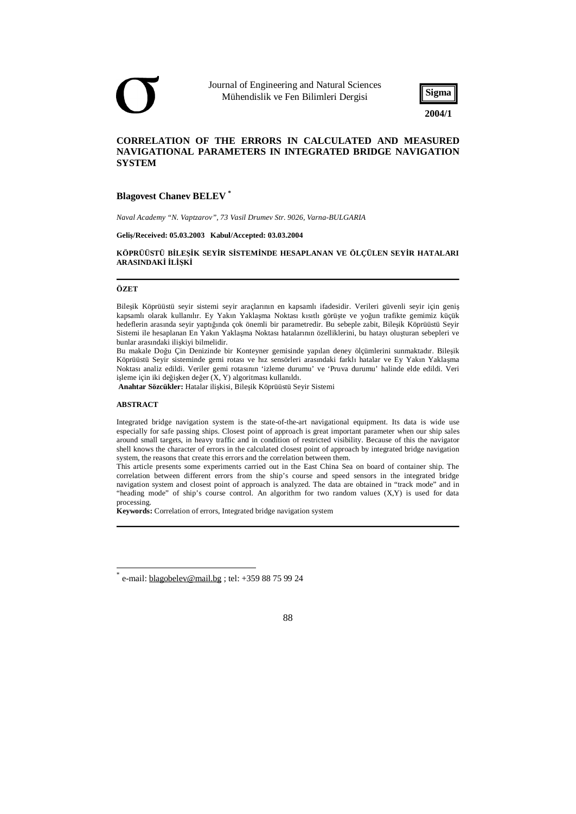Journal of Engineering and Natural Sciences Mühendislik ve Fen Bilimleri Dergisi



# **CORRELATION OF THE ERRORS IN CALCULATED AND MEASURED NAVIGATIONAL PARAMETERS IN INTEGRATED BRIDGE NAVIGATION SYSTEM**

# **Blagovest Chanev BELEV \***

*Naval Academy "N. Vaptzarov", 73 Vasil Drumev Str. 9026, Varna-BULGARIA* 

**Geliş/Received: 05.03.2003 Kabul/Accepted: 03.03.2004** 

## **KÖPRÜÜSTÜ BİLEŞİK SEYİR SİSTEMİNDE HESAPLANAN VE ÖLÇÜLEN SEYİR HATALARI ARASINDAKİ İLİŞKİ**

#### **ÖZET**

Bileşik Köprüüstü seyir sistemi seyir araçlarının en kapsamlı ifadesidir. Verileri güvenli seyir için geniş kapsamlı olarak kullanılır. Ey Yakın Yaklaşma Noktası kısıtlı görüşte ve yoğun trafikte gemimiz küçük hedeflerin arasında seyir yaptığında çok önemli bir parametredir. Bu sebeple zabit, Bileşik Köprüüstü Seyir Sistemi ile hesaplanan En Yakın Yaklaşma Noktası hatalarının özelliklerini, bu hatayı oluşturan sebepleri ve bunlar arasındaki ilişkiyi bilmelidir.

Bu makale Doğu Çin Denizinde bir Konteyner gemisinde yapılan deney ölçümlerini sunmaktadır. Bileşik Köprüüstü Seyir sisteminde gemi rotası ve hız sensörleri arasındaki farklı hatalar ve Ey Yakın Yaklaşma Noktası analiz edildi. Veriler gemi rotasının 'izleme durumu' ve 'Pruva durumu' halinde elde edildi. Veri işleme için iki değişken değer  $(X, Y)$  algoritması kullanıldı.

**Anahtar Sözcükler:** Hatalar ilişkisi, Bileşik Köprüüstü Seyir Sistemi

#### **ABSTRACT**

Integrated bridge navigation system is the state-of-the-art navigational equipment. Its data is wide use especially for safe passing ships. Closest point of approach is great important parameter when our ship sales around small targets, in heavy traffic and in condition of restricted visibility. Because of this the navigator shell knows the character of errors in the calculated closest point of approach by integrated bridge navigation system, the reasons that create this errors and the correlation between them.

This article presents some experiments carried out in the East China Sea on board of container ship. The correlation between different errors from the ship's course and speed sensors in the integrated bridge navigation system and closest point of approach is analyzed. The data are obtained in "track mode" and in "heading mode" of ship's course control. An algorithm for two random values (X,Y) is used for data processing.

**Keywords:** Correlation of errors, Integrated bridge navigation system

<sup>\*</sup> e-mail: [blagobelev@mail.bg](mailto:blagobelev@mail.bg) ; tel: +359 88 75 99 24

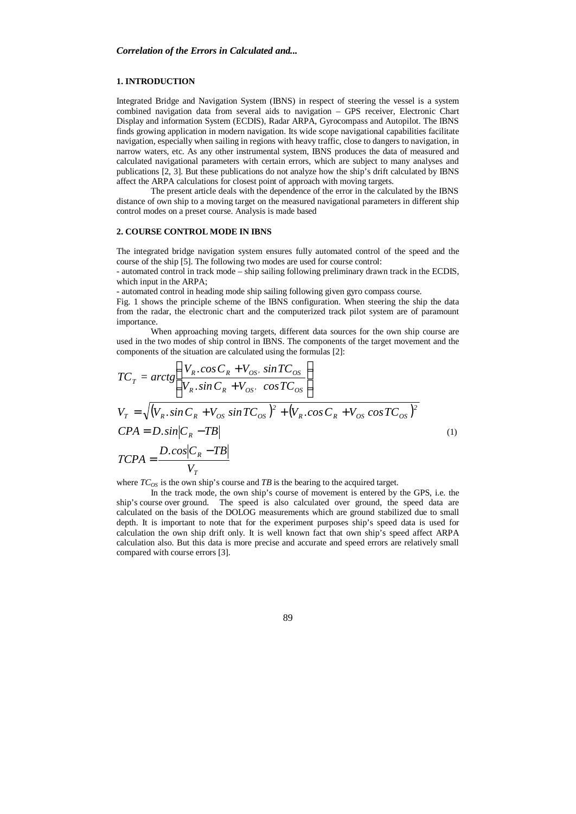#### **1. INTRODUCTION**

Integrated Bridge and Navigation System (IBNS) in respect of steering the vessel is a system combined navigation data from several aids to navigation – GPS receiver, Electronic Chart Display and information System (ECDIS), Radar ARPA, Gyrocompass and Autopilot. The IBNS finds growing application in modern navigation. Its wide scope navigational capabilities facilitate navigation, especially when sailing in regions with heavy traffic, close to dangers to navigation, in narrow waters, etc. As any other instrumental system, IBNS produces the data of measured and calculated navigational parameters with certain errors, which are subject to many analyses and publications [2, 3]. But these publications do not analyze how the ship's drift calculated by IBNS affect the ARPA calculations for closest point of approach with moving targets.

The present article deals with the dependence of the error in the calculated by the IBNS distance of own ship to a moving target on the measured navigational parameters in different ship control modes on a preset course. Analysis is made based

## **2. COURSE CONTROL MODE IN IBNS**

The integrated bridge navigation system ensures fully automated control of the speed and the course of the ship [5]. The following two modes are used for course control:

- automated control in track mode – ship sailing following preliminary drawn track in the ECDIS, which input in the ARPA;

- automated control in heading mode ship sailing following given gyro compass course.

Fig. 1 shows the principle scheme of the IBNS configuration. When steering the ship the data from the radar, the electronic chart and the computerized track pilot system are of paramount importance.

When approaching moving targets, different data sources for the own ship course are used in the two modes of ship control in IBNS. The components of the target movement and the components of the situation are calculated using the formulas [2]:

$$
TC_T = arctg\left(\frac{V_R \cdot \cos C_R + V_{OS} \cdot \sin TC_{OS}}{V_R \cdot \sin C_R + V_{OS} \cdot \cos TC_{OS}}\right)
$$
  
\n
$$
V_T = \sqrt{(V_R \cdot \sin C_R + V_{OS} \sin TC_{OS})^2 + (V_R \cdot \cos C_R + V_{OS} \cos TC_{OS})^2}
$$
  
\n
$$
CPA = D \cdot \sin|C_R - TB|
$$
  
\n
$$
TCPA = \frac{D \cdot \cos|C_R - TB|}{V_T}
$$
\n(1)

where  $TC_{OS}$  is the own ship's course and *TB* is the bearing to the acquired target.

In the track mode, the own ship's course of movement is entered by the GPS, i.e. the ship's course over ground. The speed is also calculated over ground, the speed data are calculated on the basis of the DOLOG measurements which are ground stabilized due to small depth. It is important to note that for the experiment purposes ship's speed data is used for calculation the own ship drift only. It is well known fact that own ship's speed affect ARPA calculation also. But this data is more precise and accurate and speed errors are relatively small compared with course errors [3].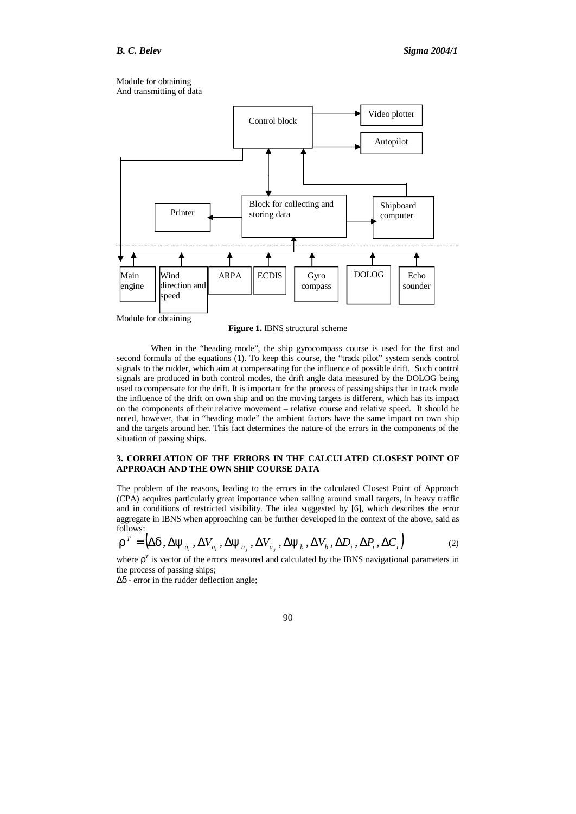Module for obtaining And transmitting of data



**Figure 1.** IBNS structural scheme

When in the "heading mode", the ship gyrocompass course is used for the first and second formula of the equations (1). To keep this course, the "track pilot" system sends control signals to the rudder, which aim at compensating for the influence of possible drift. Such control signals are produced in both control modes, the drift angle data measured by the DOLOG being used to compensate for the drift. It is important for the process of passing ships that in track mode the influence of the drift on own ship and on the moving targets is different, which has its impact on the components of their relative movement – relative course and relative speed. It should be noted, however, that in "heading mode" the ambient factors have the same impact on own ship and the targets around her. This fact determines the nature of the errors in the components of the situation of passing ships.

## **3. CORRELATION OF THE ERRORS IN THE CALCULATED CLOSEST POINT OF APPROACH AND THE OWN SHIP COURSE DATA**

The problem of the reasons, leading to the errors in the calculated Closest Point of Approach (CPA) acquires particularly great importance when sailing around small targets, in heavy traffic and in conditions of restricted visibility. The idea suggested by [6], which describes the error aggregate in IBNS when approaching can be further developed in the context of the above, said as follows:

$$
\boldsymbol{r}^T = (D\boldsymbol{d},\,D\boldsymbol{y}_{a_i},\,D\boldsymbol{V}_{a_i},\,D\boldsymbol{y}_{a_j},\,D\boldsymbol{V}_{a_j},\,D\boldsymbol{y}_b,\,D\boldsymbol{V}_b,\,D\boldsymbol{D}_i,\,D\boldsymbol{P}_i,\,D\boldsymbol{C}_i)
$$
(2)

where  $r<sup>T</sup>$  is vector of the errors measured and calculated by the IBNS navigational parameters in the process of passing ships;

*Dd* - error in the rudder deflection angle;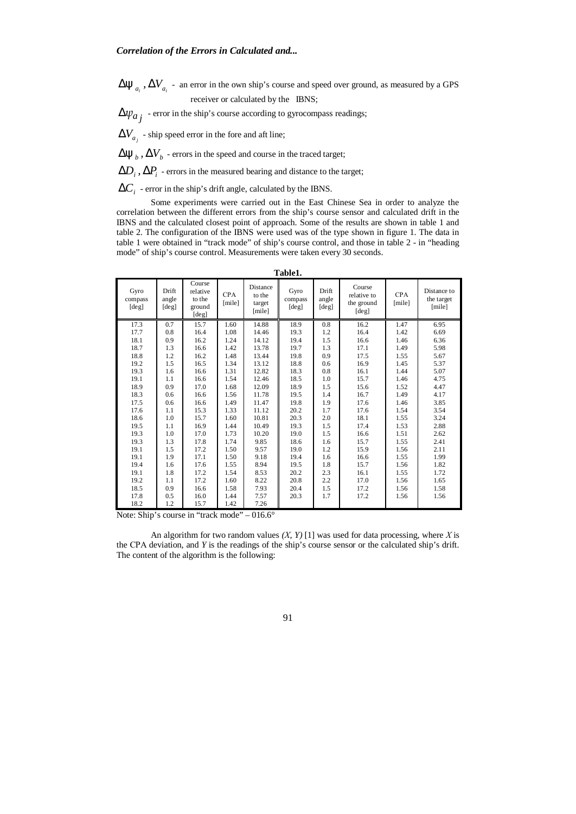$\bm{Dy}_{a_i}$  ,  $\bm{DV}_{a_i}$  - an error in the own ship's course and speed over ground, as measured by a GPS receiver or calculated by the IBNS;

 $\Delta \psi_{a_j}$  - error in the ship's course according to gyrocompass readings;

 $\mathit{DV}_{a_j}$  - ship speed error in the fore and aft line;

 $\bm{D\mathbf{y}}_b$  ,  $\bm{D\mathbf{V}}_b$  - errors in the speed and course in the traced target;

 $DD_i$ ,  $DP_i$  - errors in the measured bearing and distance to the target;

 $DC<sub>i</sub>$  - error in the ship's drift angle, calculated by the IBNS.

Some experiments were carried out in the East Chinese Sea in order to analyze the correlation between the different errors from the ship's course sensor and calculated drift in the IBNS and the calculated closest point of approach. Some of the results are shown in table 1 and table 2. The configuration of the IBNS were used was of the type shown in figure 1. The data in table 1 were obtained in "track mode" of ship's course control, and those in table 2 - in "heading mode" of ship's course control. Measurements were taken every 30 seconds.

|                          | Table1.                 |                                                 |                      |                                        |                          |                          |                                              |                      |                                     |  |  |  |  |
|--------------------------|-------------------------|-------------------------------------------------|----------------------|----------------------------------------|--------------------------|--------------------------|----------------------------------------------|----------------------|-------------------------------------|--|--|--|--|
| Gyro<br>compass<br>[deg] | Drift<br>angle<br>[deg] | Course<br>relative<br>to the<br>ground<br>[deg] | <b>CPA</b><br>[mile] | Distance<br>to the<br>target<br>[mile] | Gyro<br>compass<br>[deg] | Drift.<br>angle<br>[deg] | Course<br>relative to<br>the ground<br>[deg] | <b>CPA</b><br>[mile] | Distance to<br>the target<br>[mile] |  |  |  |  |
| 17.3                     | 0.7                     | 15.7                                            | 1.60                 | 14.88                                  | 18.9                     | 0.8                      | 16.2                                         | 1.47                 | 6.95                                |  |  |  |  |
| 17.7                     | 0.8                     | 16.4                                            | 1.08                 | 14.46                                  | 19.3                     | 1.2                      | 16.4                                         | 1.42                 | 6.69                                |  |  |  |  |
| 18.1                     | 0.9                     | 16.2                                            | 1.24                 | 14.12                                  | 19.4                     | 1.5                      | 16.6                                         | 1.46                 | 6.36                                |  |  |  |  |
| 18.7                     | 1.3                     | 16.6                                            | 1.42                 | 13.78                                  | 19.7                     | 1.3                      | 17.1                                         | 1.49                 | 5.98                                |  |  |  |  |
| 18.8                     | 1.2                     | 16.2                                            | 1.48                 | 13.44                                  | 19.8                     | 0.9                      | 17.5                                         | 1.55                 | 5.67                                |  |  |  |  |
| 19.2                     | 1.5                     | 16.5                                            | 1.34                 | 13.12                                  | 18.8                     | 0.6                      | 16.9                                         | 1.45                 | 5.37                                |  |  |  |  |
| 19.3                     | 1.6                     | 16.6                                            | 1.31                 | 12.82                                  | 18.3                     | 0.8                      | 16.1                                         | 1.44                 | 5.07                                |  |  |  |  |
| 19.1                     | 1.1                     | 16.6                                            | 1.54                 | 12.46                                  | 18.5                     | 1.0                      | 15.7                                         | 1.46                 | 4.75                                |  |  |  |  |
| 18.9                     | 0.9                     | 17.0                                            | 1.68                 | 12.09                                  | 18.9                     | 1.5                      | 15.6                                         | 1.52                 | 4.47                                |  |  |  |  |
| 18.3                     | 0.6                     | 16.6                                            | 1.56                 | 11.78                                  | 19.5                     | 1.4                      | 16.7                                         | 1.49                 | 4.17                                |  |  |  |  |
| 17.5                     | 0.6                     | 16.6                                            | 1.49                 | 11.47                                  | 19.8                     | 1.9                      | 17.6                                         | 1.46                 | 3.85                                |  |  |  |  |
| 17.6                     | 1.1                     | 15.3                                            | 1.33                 | 11.12                                  | 20.2                     | 1.7                      | 17.6                                         | 1.54                 | 3.54                                |  |  |  |  |
| 18.6                     | 1.0                     | 15.7                                            | 1.60                 | 10.81                                  | 20.3                     | 2.0                      | 18.1                                         | 1.55                 | 3.24                                |  |  |  |  |
| 19.5                     | 1.1                     | 16.9                                            | 1.44                 | 10.49                                  | 19.3                     | 1.5                      | 17.4                                         | 1.53                 | 2.88                                |  |  |  |  |
| 19.3                     | 1.0                     | 17.0                                            | 1.73                 | 10.20                                  | 19.0                     | 1.5                      | 16.6                                         | 1.51                 | 2.62                                |  |  |  |  |
| 19.3                     | 1.3                     | 17.8                                            | 1.74                 | 9.85                                   | 18.6                     | 1.6                      | 15.7                                         | 1.55                 | 2.41                                |  |  |  |  |
| 19.1                     | 1.5                     | 17.2                                            | 1.50                 | 9.57                                   | 19.0                     | 1.2                      | 15.9                                         | 1.56                 | 2.11                                |  |  |  |  |
| 19.1                     | 1.9                     | 17.1                                            | 1.50                 | 9.18                                   | 19.4                     | 1.6                      | 16.6                                         | 1.55                 | 1.99                                |  |  |  |  |
| 19.4                     | 1.6                     | 17.6                                            | 1.55                 | 8.94                                   | 19.5                     | 1.8                      | 15.7                                         | 1.56                 | 1.82                                |  |  |  |  |
| 19.1                     | 1.8                     | 17.2                                            | 1.54                 | 8.53                                   | 20.2                     | 2.3                      | 16.1                                         | 1.55                 | 1.72                                |  |  |  |  |
| 19.2                     | 1.1                     | 17.2                                            | 1.60                 | 8.22                                   | 20.8                     | 2.2                      | 17.0                                         | 1.56                 | 1.65                                |  |  |  |  |
| 18.5                     | 0.9                     | 16.6                                            | 1.58                 | 7.93                                   | 20.4                     | 1.5                      | 17.2                                         | 1.56                 | 1.58                                |  |  |  |  |
| 17.8                     | 0.5                     | 16.0                                            | 1.44                 | 7.57                                   | 20.3                     | 1.7                      | 17.2                                         | 1.56                 | 1.56                                |  |  |  |  |
| 18.2                     | 1.2                     | 15.7                                            | 1.42                 | 7.26                                   |                          |                          |                                              |                      |                                     |  |  |  |  |

Note: Ship's course in "track mode" – 016.6°

An algorithm for two random values *(Х, Y)* [1] was used for data processing, where *Х* is the СРА deviation, and *Y* is the readings of the ship's course sensor or the calculated ship's drift. The content of the algorithm is the following: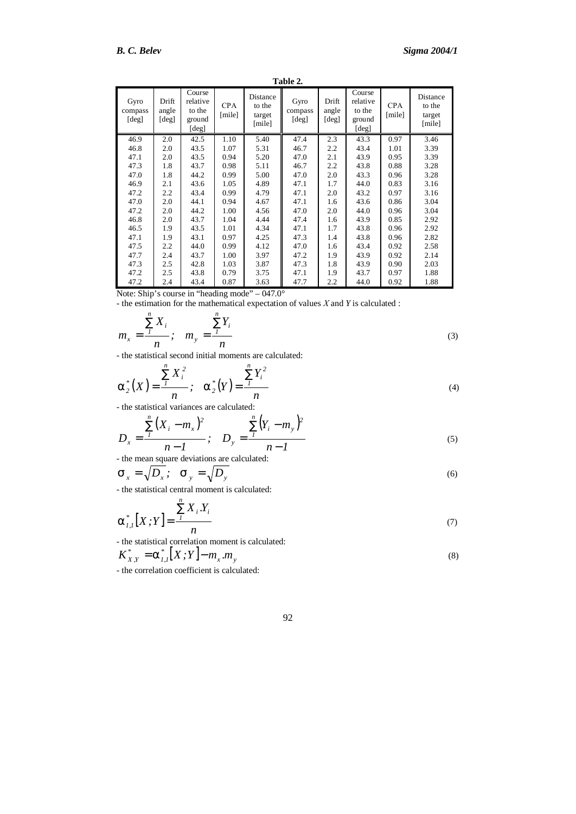**Table 2.** 

| Gyro<br>compass<br>[deg] | Drift<br>angle<br>$\lceil \text{deg} \rceil$ | Course<br>relative<br>to the<br>ground<br>[deg] | <b>CPA</b><br>[mile] | Distance<br>to the<br>target<br>[mile] | Gyro<br>compass<br>[deg] | Drift<br>angle<br>[deg] | Course<br>relative<br>to the<br>ground<br>[deg] | <b>CPA</b><br>[mile] | Distance<br>to the<br>target<br>[mile] |
|--------------------------|----------------------------------------------|-------------------------------------------------|----------------------|----------------------------------------|--------------------------|-------------------------|-------------------------------------------------|----------------------|----------------------------------------|
| 46.9                     | 2.0                                          | 42.5                                            | 1.10                 | 5.40                                   | 47.4                     | 2.3                     | 43.3                                            | 0.97                 | 3.46                                   |
| 46.8                     | 2.0                                          | 43.5                                            | 1.07                 | 5.31                                   | 46.7                     | 2.2                     | 43.4                                            | 1.01                 | 3.39                                   |
| 47.1                     | 2.0                                          | 43.5                                            | 0.94                 | 5.20                                   | 47.0                     | 2.1                     | 43.9                                            | 0.95                 | 3.39                                   |
| 47.3                     | 1.8                                          | 43.7                                            | 0.98                 | 5.11                                   | 46.7                     | 2.2                     | 43.8                                            | 0.88                 | 3.28                                   |
| 47.0                     | 1.8                                          | 44.2                                            | 0.99                 | 5.00                                   | 47.0                     | 2.0                     | 43.3                                            | 0.96                 | 3.28                                   |
| 46.9                     | 2.1                                          | 43.6                                            | 1.05                 | 4.89                                   | 47.1                     | 1.7                     | 44.0                                            | 0.83                 | 3.16                                   |
| 47.2                     | 2.2                                          | 43.4                                            | 0.99                 | 4.79                                   | 47.1                     | 2.0                     | 43.2                                            | 0.97                 | 3.16                                   |
| 47.0                     | 2.0                                          | 44.1                                            | 0.94                 | 4.67                                   | 47.1                     | 1.6                     | 43.6                                            | 0.86                 | 3.04                                   |
| 47.2                     | 2.0                                          | 44.2                                            | 1.00                 | 4.56                                   | 47.0                     | 2.0                     | 44.0                                            | 0.96                 | 3.04                                   |
| 46.8                     | 2.0                                          | 43.7                                            | 1.04                 | 4.44                                   | 47.4                     | 1.6                     | 43.9                                            | 0.85                 | 2.92                                   |
| 46.5                     | 1.9                                          | 43.5                                            | 1.01                 | 4.34                                   | 47.1                     | 1.7                     | 43.8                                            | 0.96                 | 2.92                                   |
| 47.1                     | 1.9                                          | 43.1                                            | 0.97                 | 4.25                                   | 47.3                     | 1.4                     | 43.8                                            | 0.96                 | 2.82                                   |
| 47.5                     | 2.2                                          | 44.0                                            | 0.99                 | 4.12                                   | 47.0                     | 1.6                     | 43.4                                            | 0.92                 | 2.58                                   |
| 47.7                     | 2.4                                          | 43.7                                            | 1.00                 | 3.97                                   | 47.2                     | 1.9                     | 43.9                                            | 0.92                 | 2.14                                   |
| 47.3                     | 2.5                                          | 42.8                                            | 1.03                 | 3.87                                   | 47.3                     | 1.8                     | 43.9                                            | 0.90                 | 2.03                                   |
| 47.2                     | 2.5                                          | 43.8                                            | 0.79                 | 3.75                                   | 47.1                     | 1.9                     | 43.7                                            | 0.97                 | 1.88                                   |
| 47.2                     | 2.4                                          | 43.4                                            | 0.87                 | 3.63                                   | 47.7                     | 2.2                     | 44.0                                            | 0.92                 | 1.88                                   |

Note: Ship's course in "heading mode" – 047.0°

- the estimation for the mathematical expectation of values *Х* and *Y* is calculated :

$$
m_x = \frac{\sum_{i=1}^{n} X_i}{n}; \quad m_y = \frac{\sum_{i=1}^{n} Y_i}{n}
$$
 (3)

- the statistical second initial moments are calculated:

$$
a_2^*(X) = \frac{\sum_{i=1}^{n} X_i^2}{n}; \quad a_2^*(Y) = \frac{\sum_{i=1}^{n} Y_i^2}{n}
$$
 (4)

- the statistical variances are calculated:

$$
D_x = \frac{\sum_{i}^{n} (X_i - m_x)^2}{n - 1}; \quad D_y = \frac{\sum_{i}^{n} (Y_i - m_y)^2}{n - 1}
$$
  
the mean square deviations are calculated: (5)

*n*

$$
\mathbf{S}_x = \sqrt{D_x}; \quad \mathbf{S}_y = \sqrt{D_y}
$$
 (6)

- the statistical central moment is calculated:

$$
a_{1,1}^*[X;Y] = \frac{\sum_{i} X_i Y_i}{n}
$$
 (7)

- the statistical correlation moment is calculated:  $\int_{I,I}^* [X;Y]-m_x.m_y$  $K_{X,Y}^* = a_{I,I}^* [X;Y] - m_x.m_y$  (8) - the correlation coefficient is calculated: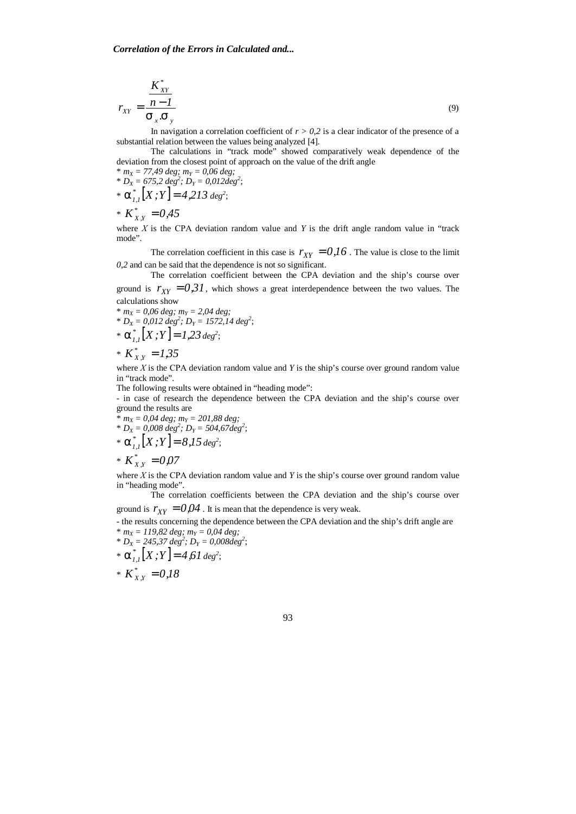$$
r_{XY} = \frac{K_{XY}^*}{S_X S_y}
$$
 (9)

In navigation a correlation coefficient of  $r > 0.2$  is a clear indicator of the presence of a substantial relation between the values being analyzed [4].

The calculations in "track mode" showed comparatively weak dependence of the deviation from the closest point of approach on the value of the drift angle

 $* m_X = 77,49 \text{ deg}; m_Y = 0,06 \text{ deg};$  $\mathbf{F} \cdot \mathbf{D} \mathbf{x} = 675.2 \text{ deg}^2; \mathbf{D} \mathbf{y} = 0.012 \text{ deg}^2;$ 

\*  $a_{1,1}^* [X;Y] = 4,213 \text{ deg}^2;$ 

\*  $K_{X,Y}^* = 0.45$ 

where  $X$  is the CPA deviation random value and  $Y$  is the drift angle random value in "track" mode".

The correlation coefficient in this case is  $r_{XY} = 0.16$ . The value is close to the limit *0,2* and can be said that the dependence is not so significant.

The correlation coefficient between the CPA deviation and the ship's course over ground is  $r_{yy} = 0.31$ , which shows a great interdependence between the two values. The calculations show

 $* m_X = 0.06$  *deg;*  $m_Y = 2.04$  *deg;*  $* D_X = 0.012 \text{ deg}^2$ ;  $D_Y = 1572, 14 \text{ deg}^2$ ; \*  $a_{1,1}^*[X;Y] = 1,23 \text{ deg}^2;$ 

\* 
$$
K_{X,Y}^* = 1,35
$$

where *Х* is the СРА deviation random value and *Y* is the ship's course over ground random value in "track mode".

The following results were obtained in "heading mode":

- in case of research the dependence between the CPA deviation and the ship's course over ground the results are

\* 
$$
m_X = 0.04
$$
 deg;  $m_Y = 201.88$  deg;  
\n\*  $D_X = 0.008$  deg<sup>2</sup>;  $D_Y = 504.67$  deg<sup>2</sup>;  
\n\*  $\mathbf{a}_{1,1}^* [X; Y] = 8.15$  deg<sup>2</sup>;  
\n\*  $K_{X,Y}^* = 0.07$ 

where *X* is the CPA deviation random value and *Y* is the ship's course over ground random value in "heading mode".

The correlation coefficients between the CPA deviation and the ship's course over ground is  $r_{XY} = 0.04$ . It is mean that the dependence is very weak.

- the results concerning the dependence between the CPA deviation and the ship's drift angle are  $* m_X = 119,82 \text{ deg}; m_Y = 0,04 \text{ deg};$ 

 $\mathcal{D}_X = 245,37 \text{ deg}^2$ ;  $D_Y = 0,008 \text{ deg}^2$ ;

\*  $a_{1,1}^*[X;Y] = 4,61 \text{ deg}^2;$ 

$$
* K_{X,Y}^* = 0.18
$$